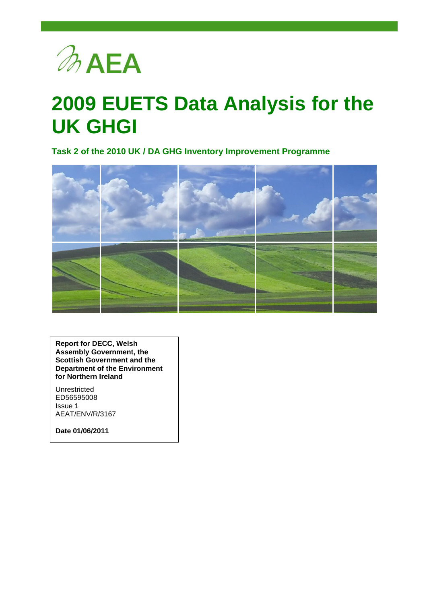

# **2009 EUETS Data Analysis for the UK GHGI**

**Task 2 of the 2010 UK / DA GHG Inventory Improvement Programme**



**Report for DECC, Welsh Assembly Government, the Scottish Government and the Department of the Environment for Northern Ireland**

Unrestricted ED56595008 Issue 1 AEAT/ENV/R/3167

**Date 01/06/2011**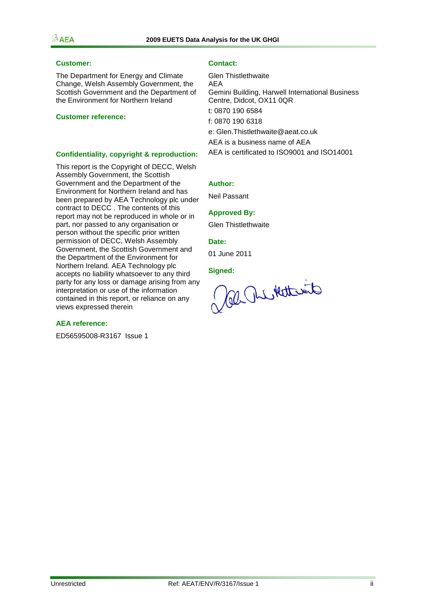#### **Customer: Contact:**

The Department for Energy and Climate Change, Welsh Assembly Government, the Scottish Government and the Department of the Environment for Northern Ireland

#### **Customer reference:**

#### **Confidentiality, copyright & reproduction:**

This report is the Copyright of DECC, Welsh Assembly Government, the Scottish Government and the Department of the Environment for Northern Ireland and has been prepared by AEA Technology plc under contract to DECC . The contents of this report may not be reproduced in whole or in part, nor passed to any organisation or person without the specific prior written permission of DECC, Welsh Assembly Government, the Scottish Government and the Department of the Environment for Northern Ireland. AEA Technology plc accepts no liability whatsoever to any third party for any loss or damage arising from any interpretation or use of the information contained in this report, or reliance on any views expressed therein

#### **AEA reference:**

ED56595008-R3167 Issue 1

Glen Thistlethwaite AEA Gemini Building, Harwell International Business Centre, Didcot, OX11 0QR t: 0870 190 6584 f: 0870 190 6318 e: [Glen.Thistlethwaite@aeat.co.uk](mailto:Glen.Thistlethwaite@aeat.co.uk) AEA is a business name of AEA AEA is certificated to ISO9001 and ISO14001

#### **Author:**

Neil Passant

#### **Approved By:**

Glen Thistlethwaite

#### **Date:**

01 June 2011

**Signed:**

al Relativet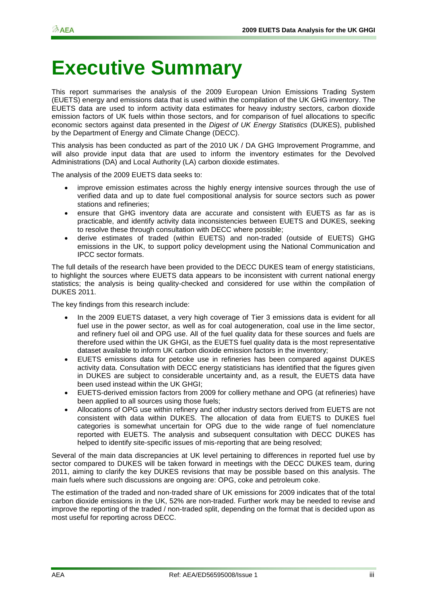# **Executive Summary**

This report summarises the analysis of the 2009 European Union Emissions Trading System (EUETS) energy and emissions data that is used within the compilation of the UK GHG inventory. The EUETS data are used to inform activity data estimates for heavy industry sectors, carbon dioxide emission factors of UK fuels within those sectors, and for comparison of fuel allocations to specific economic sectors against data presented in the *Digest of UK Energy Statistics* (DUKES), published by the Department of Energy and Climate Change (DECC).

This analysis has been conducted as part of the 2010 UK / DA GHG Improvement Programme, and will also provide input data that are used to inform the inventory estimates for the Devolved Administrations (DA) and Local Authority (LA) carbon dioxide estimates.

The analysis of the 2009 EUETS data seeks to:

- improve emission estimates across the highly energy intensive sources through the use of verified data and up to date fuel compositional analysis for source sectors such as power stations and refineries;
- ensure that GHG inventory data are accurate and consistent with EUETS as far as is practicable, and identify activity data inconsistencies between EUETS and DUKES, seeking to resolve these through consultation with DECC where possible;
- derive estimates of traded (within EUETS) and non-traded (outside of EUETS) GHG emissions in the UK, to support policy development using the National Communication and IPCC sector formats.

The full details of the research have been provided to the DECC DUKES team of energy statisticians, to highlight the sources where EUETS data appears to be inconsistent with current national energy statistics; the analysis is being quality-checked and considered for use within the compilation of DUKES 2011.

The key findings from this research include:

- In the 2009 EUETS dataset, a very high coverage of Tier 3 emissions data is evident for all fuel use in the power sector, as well as for coal autogeneration, coal use in the lime sector, and refinery fuel oil and OPG use. All of the fuel quality data for these sources and fuels are therefore used within the UK GHGI, as the EUETS fuel quality data is the most representative dataset available to inform UK carbon dioxide emission factors in the inventory;
- EUETS emissions data for petcoke use in refineries has been compared against DUKES activity data. Consultation with DECC energy statisticians has identified that the figures given in DUKES are subject to considerable uncertainty and, as a result, the EUETS data have been used instead within the UK GHGI;
- EUETS-derived emission factors from 2009 for colliery methane and OPG (at refineries) have been applied to all sources using those fuels;
- Allocations of OPG use within refinery and other industry sectors derived from EUETS are not consistent with data within DUKES. The allocation of data from EUETS to DUKES fuel categories is somewhat uncertain for OPG due to the wide range of fuel nomenclature reported with EUETS. The analysis and subsequent consultation with DECC DUKES has helped to identify site-specific issues of mis-reporting that are being resolved;

Several of the main data discrepancies at UK level pertaining to differences in reported fuel use by sector compared to DUKES will be taken forward in meetings with the DECC DUKES team, during 2011, aiming to clarify the key DUKES revisions that may be possible based on this analysis. The main fuels where such discussions are ongoing are: OPG, coke and petroleum coke.

The estimation of the traded and non-traded share of UK emissions for 2009 indicates that of the total carbon dioxide emissions in the UK, 52% are non-traded. Further work may be needed to revise and improve the reporting of the traded / non-traded split, depending on the format that is decided upon as most useful for reporting across DECC.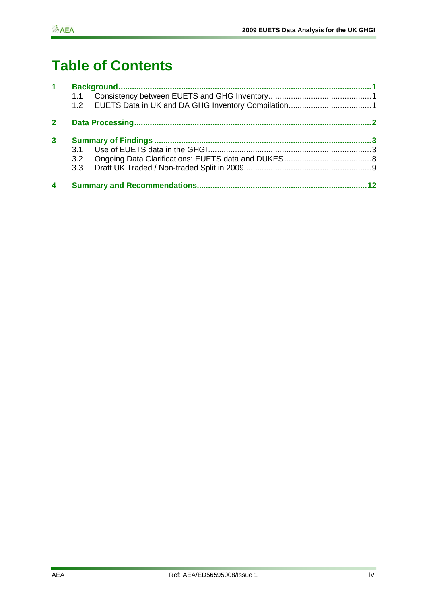# **Table of Contents**

| 1            |     |  |
|--------------|-----|--|
|              |     |  |
|              | 1.2 |  |
| $\mathbf{2}$ |     |  |
| $\mathbf{3}$ |     |  |
|              | 3 1 |  |
|              |     |  |
|              | 3.3 |  |
| 4            |     |  |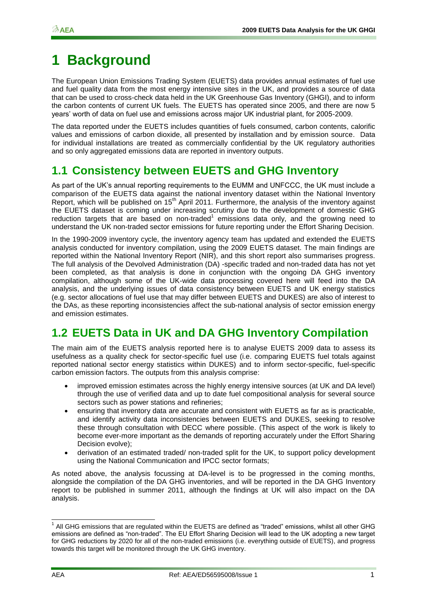# <span id="page-4-0"></span>**1 Background**

The European Union Emissions Trading System (EUETS) data provides annual estimates of fuel use and fuel quality data from the most energy intensive sites in the UK, and provides a source of data that can be used to cross-check data held in the UK Greenhouse Gas Inventory (GHGI), and to inform the carbon contents of current UK fuels. The EUETS has operated since 2005, and there are now 5 years" worth of data on fuel use and emissions across major UK industrial plant, for 2005-2009.

The data reported under the EUETS includes quantities of fuels consumed, carbon contents, calorific values and emissions of carbon dioxide, all presented by installation and by emission source. Data for individual installations are treated as commercially confidential by the UK regulatory authorities and so only aggregated emissions data are reported in inventory outputs.

### <span id="page-4-1"></span>**1.1 Consistency between EUETS and GHG Inventory**

As part of the UK"s annual reporting requirements to the EUMM and UNFCCC, the UK must include a comparison of the EUETS data against the national inventory dataset within the National Inventory Report, which will be published on  $15<sup>th</sup>$  April 2011. Furthermore, the analysis of the inventory against the EUETS dataset is coming under increasing scrutiny due to the development of domestic GHG reduction targets that are based on non-traded<sup>1</sup> emissions data only, and the growing need to understand the UK non-traded sector emissions for future reporting under the Effort Sharing Decision.

In the 1990-2009 inventory cycle, the inventory agency team has updated and extended the EUETS analysis conducted for inventory compilation, using the 2009 EUETS dataset. The main findings are reported within the National Inventory Report (NIR), and this short report also summarises progress. The full analysis of the Devolved Administration (DA) -specific traded and non-traded data has not yet been completed, as that analysis is done in conjunction with the ongoing DA GHG inventory compilation, although some of the UK-wide data processing covered here will feed into the DA analysis, and the underlying issues of data consistency between EUETS and UK energy statistics (e.g. sector allocations of fuel use that may differ between EUETS and DUKES) are also of interest to the DAs, as these reporting inconsistencies affect the sub-national analysis of sector emission energy and emission estimates.

### <span id="page-4-2"></span>**1.2 EUETS Data in UK and DA GHG Inventory Compilation**

The main aim of the EUETS analysis reported here is to analyse EUETS 2009 data to assess its usefulness as a quality check for sector-specific fuel use (i.e. comparing EUETS fuel totals against reported national sector energy statistics within DUKES) and to inform sector-specific, fuel-specific carbon emission factors. The outputs from this analysis comprise:

- improved emission estimates across the highly energy intensive sources (at UK and DA level) through the use of verified data and up to date fuel compositional analysis for several source sectors such as power stations and refineries;
- ensuring that inventory data are accurate and consistent with EUETS as far as is practicable, and identify activity data inconsistencies between EUETS and DUKES, seeking to resolve these through consultation with DECC where possible. (This aspect of the work is likely to become ever-more important as the demands of reporting accurately under the Effort Sharing Decision evolve);
- derivation of an estimated traded/ non-traded split for the UK, to support policy development using the National Communication and IPCC sector formats;

As noted above, the analysis focussing at DA-level is to be progressed in the coming months, alongside the compilation of the DA GHG inventories, and will be reported in the DA GHG Inventory report to be published in summer 2011, although the findings at UK will also impact on the DA analysis.

 1 All GHG emissions that are regulated within the EUETS are defined as "traded" emissions, whilst all other GHG emissions are defined as "non-traded". The EU Effort Sharing Decision will lead to the UK adopting a new target for GHG reductions by 2020 for all of the non-traded emissions (i.e. everything outside of EUETS), and progress towards this target will be monitored through the UK GHG inventory.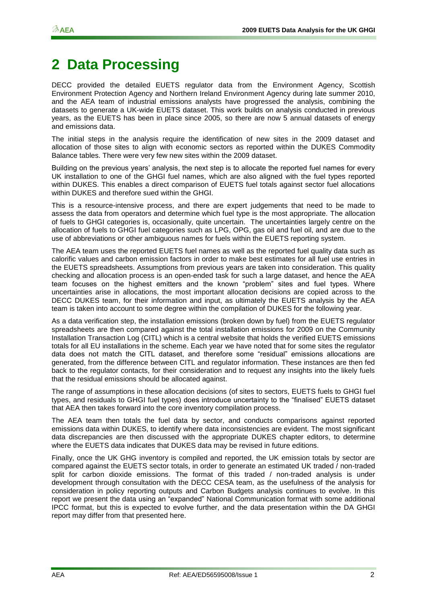# <span id="page-5-0"></span>**2 Data Processing**

DECC provided the detailed EUETS regulator data from the Environment Agency, Scottish Environment Protection Agency and Northern Ireland Environment Agency during late summer 2010, and the AEA team of industrial emissions analysts have progressed the analysis, combining the datasets to generate a UK-wide EUETS dataset. This work builds on analysis conducted in previous years, as the EUETS has been in place since 2005, so there are now 5 annual datasets of energy and emissions data.

The initial steps in the analysis require the identification of new sites in the 2009 dataset and allocation of those sites to align with economic sectors as reported within the DUKES Commodity Balance tables. There were very few new sites within the 2009 dataset.

Building on the previous years" analysis, the next step is to allocate the reported fuel names for every UK installation to one of the GHGI fuel names, which are also aligned with the fuel types reported within DUKES. This enables a direct comparison of EUETS fuel totals against sector fuel allocations within DUKES and therefore sued within the GHGI.

This is a resource-intensive process, and there are expert judgements that need to be made to assess the data from operators and determine which fuel type is the most appropriate. The allocation of fuels to GHGI categories is, occasionally, quite uncertain. The uncertainties largely centre on the allocation of fuels to GHGI fuel categories such as LPG, OPG, gas oil and fuel oil, and are due to the use of abbreviations or other ambiguous names for fuels within the EUETS reporting system.

The AEA team uses the reported EUETS fuel names as well as the reported fuel quality data such as calorific values and carbon emission factors in order to make best estimates for all fuel use entries in the EUETS spreadsheets. Assumptions from previous years are taken into consideration. This quality checking and allocation process is an open-ended task for such a large dataset, and hence the AEA team focuses on the highest emitters and the known "problem" sites and fuel types. Where uncertainties arise in allocations, the most important allocation decisions are copied across to the DECC DUKES team, for their information and input, as ultimately the EUETS analysis by the AEA team is taken into account to some degree within the compilation of DUKES for the following year.

As a data verification step, the installation emissions (broken down by fuel) from the EUETS regulator spreadsheets are then compared against the total installation emissions for 2009 on the Community Installation Transaction Log (CITL) which is a central website that holds the verified EUETS emissions totals for all EU installations in the scheme. Each year we have noted that for some sites the regulator data does not match the CITL dataset, and therefore some "residual" emissions allocations are generated, from the difference between CITL and regulator information. These instances are then fed back to the regulator contacts, for their consideration and to request any insights into the likely fuels that the residual emissions should be allocated against.

The range of assumptions in these allocation decisions (of sites to sectors, EUETS fuels to GHGI fuel types, and residuals to GHGI fuel types) does introduce uncertainty to the "finalised" EUETS dataset that AEA then takes forward into the core inventory compilation process.

The AEA team then totals the fuel data by sector, and conducts comparisons against reported emissions data within DUKES, to identify where data inconsistencies are evident. The most significant data discrepancies are then discussed with the appropriate DUKES chapter editors, to determine where the EUETS data indicates that DUKES data may be revised in future editions.

Finally, once the UK GHG inventory is compiled and reported, the UK emission totals by sector are compared against the EUETS sector totals, in order to generate an estimated UK traded / non-traded split for carbon dioxide emissions. The format of this traded / non-traded analysis is under development through consultation with the DECC CESA team, as the usefulness of the analysis for consideration in policy reporting outputs and Carbon Budgets analysis continues to evolve. In this report we present the data using an "expanded" National Communication format with some additional IPCC format, but this is expected to evolve further, and the data presentation within the DA GHGI report may differ from that presented here.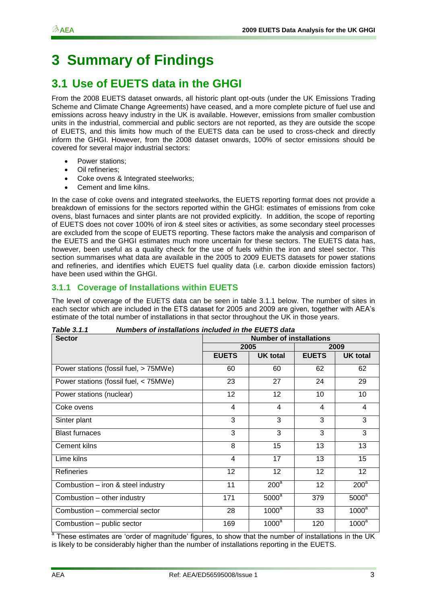# <span id="page-6-0"></span>**3 Summary of Findings**

### <span id="page-6-1"></span>**3.1 Use of EUETS data in the GHGI**

From the 2008 EUETS dataset onwards, all historic plant opt-outs (under the UK Emissions Trading Scheme and Climate Change Agreements) have ceased, and a more complete picture of fuel use and emissions across heavy industry in the UK is available. However, emissions from smaller combustion units in the industrial, commercial and public sectors are not reported, as they are outside the scope of EUETS, and this limits how much of the EUETS data can be used to cross-check and directly inform the GHGI. However, from the 2008 dataset onwards, 100% of sector emissions should be covered for several major industrial sectors:

- Power stations;
- Oil refineries;
- Coke ovens & Integrated steelworks;
- Cement and lime kilns.

In the case of coke ovens and integrated steelworks, the EUETS reporting format does not provide a breakdown of emissions for the sectors reported within the GHGI: estimates of emissions from coke ovens, blast furnaces and sinter plants are not provided explicitly. In addition, the scope of reporting of EUETS does not cover 100% of iron & steel sites or activities, as some secondary steel processes are excluded from the scope of EUETS reporting. These factors make the analysis and comparison of the EUETS and the GHGI estimates much more uncertain for these sectors. The EUETS data has, however, been useful as a quality check for the use of fuels within the iron and steel sector. This section summarises what data are available in the 2005 to 2009 EUETS datasets for power stations and refineries, and identifies which EUETS fuel quality data (i.e. carbon dioxide emission factors) have been used within the GHGI.

### **3.1.1 Coverage of Installations within EUETS**

The level of coverage of the EUETS data can be seen in table 3.1.1 below. The number of sites in each sector which are included in the ETS dataset for 2005 and 2009 are given, together with AEA"s estimate of the total number of installations in that sector throughout the UK in those years.

| <b>Sector</b>                         | <b>Number of installations</b> |                 |              |                 |  |
|---------------------------------------|--------------------------------|-----------------|--------------|-----------------|--|
|                                       |                                | 2005            | 2009         |                 |  |
|                                       | <b>EUETS</b>                   | <b>UK total</b> | <b>EUETS</b> | <b>UK total</b> |  |
| Power stations (fossil fuel, > 75MWe) | 60                             | 60              | 62           | 62              |  |
| Power stations (fossil fuel, < 75MWe) | 23                             | 27              | 24           | 29              |  |
| Power stations (nuclear)              | 12                             | 12              | 10           | 10              |  |
| Coke ovens                            | 4                              | $\overline{4}$  | 4            | 4               |  |
| Sinter plant                          | 3                              | 3               | 3            | 3               |  |
| <b>Blast furnaces</b>                 | 3                              | 3               | 3            | 3               |  |
| Cement kilns                          | 8                              | 15              | 13           | 13              |  |
| Lime kilns                            | $\overline{4}$                 | 17              | 13           | 15              |  |
| <b>Refineries</b>                     | 12                             | 12              | 12           | 12              |  |
| Combustion - iron & steel industry    | 11                             | $200^a$         | 12           | $200^a$         |  |
| Combustion - other industry           | 171                            | $5000^a$        | 379          | $5000^a$        |  |
| Combustion - commercial sector        | 28                             | $1000^a$        | 33           | $1000^a$        |  |
| Combustion - public sector            | 169                            | $1000^a$        | 120          | $1000^a$        |  |

*Table 3.1.1 Numbers of installations included in the EUETS data*

<sup>a</sup> These estimates are 'order of magnitude' figures, to show that the number of installations in the UK is likely to be considerably higher than the number of installations reporting in the EUETS.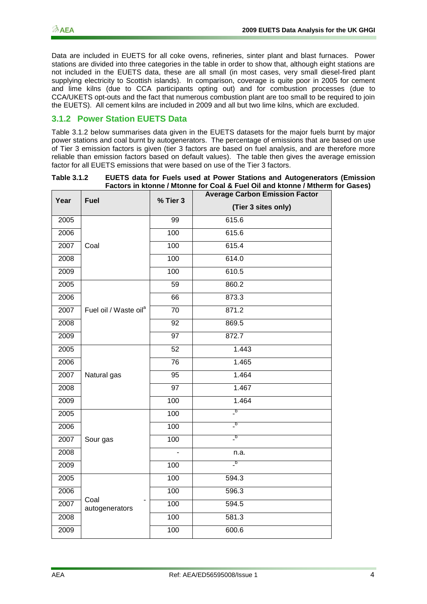Data are included in EUETS for all coke ovens, refineries, sinter plant and blast furnaces. Power stations are divided into three categories in the table in order to show that, although eight stations are not included in the EUETS data, these are all small (in most cases, very small diesel-fired plant supplying electricity to Scottish islands). In comparison, coverage is quite poor in 2005 for cement and lime kilns (due to CCA participants opting out) and for combustion processes (due to CCA/UKETS opt-outs and the fact that numerous combustion plant are too small to be required to join the EUETS). All cement kilns are included in 2009 and all but two lime kilns, which are excluded.

#### **3.1.2 Power Station EUETS Data**

Table 3.1.2 below summarises data given in the EUETS datasets for the major fuels burnt by major power stations and coal burnt by autogenerators. The percentage of emissions that are based on use of Tier 3 emission factors is given (tier 3 factors are based on fuel analysis, and are therefore more reliable than emission factors based on default values). The table then gives the average emission factor for all EUETS emissions that were based on use of the Tier 3 factors.

| Table 3.1.2 | EUETS data for Fuels used at Power Stations and Autogenerators (Emission      |
|-------------|-------------------------------------------------------------------------------|
|             | Factors in ktonne / Mtonne for Coal & Fuel Oil and ktonne / Mtherm for Gases) |

| Year | <b>Fuel</b>                       | % Tier 3        | <b>Average Carbon Emission Factor</b>     |  |  |
|------|-----------------------------------|-----------------|-------------------------------------------|--|--|
|      |                                   |                 | (Tier 3 sites only)                       |  |  |
| 2005 |                                   | 99              | 615.6                                     |  |  |
| 2006 |                                   | 100             | 615.6                                     |  |  |
| 2007 | Coal                              | 100             | 615.4                                     |  |  |
| 2008 |                                   | 100             | 614.0                                     |  |  |
| 2009 |                                   | 100             | 610.5                                     |  |  |
| 2005 |                                   | 59              | 860.2                                     |  |  |
| 2006 |                                   | 66              | 873.3                                     |  |  |
| 2007 | Fuel oil / Waste oil <sup>a</sup> | 70              | 871.2                                     |  |  |
| 2008 |                                   | 92              | 869.5                                     |  |  |
| 2009 |                                   | $\overline{97}$ | 872.7                                     |  |  |
| 2005 |                                   | 52              | 1.443                                     |  |  |
| 2006 |                                   | $\overline{76}$ | 1.465                                     |  |  |
| 2007 | Natural gas                       | 95              | 1.464                                     |  |  |
| 2008 |                                   | $\overline{97}$ | 1.467                                     |  |  |
| 2009 |                                   | 100             | 1.464                                     |  |  |
| 2005 |                                   | 100             | $\overline{\phantom{a}}^{\phantom{\dag}}$ |  |  |
| 2006 |                                   | 100             | $\overline{\phantom{a}}^{\phantom{\dag}}$ |  |  |
| 2007 | Sour gas                          | 100             | $\overline{\phantom{a}}^{\phantom{\dag}}$ |  |  |
| 2008 |                                   |                 | n.a.                                      |  |  |
| 2009 |                                   | 100             | $\overline{\phantom{a}}^{\,\mathsf{b}}$   |  |  |
| 2005 |                                   | 100             | 594.3                                     |  |  |
| 2006 |                                   | 100             | 596.3                                     |  |  |
| 2007 | Coal<br>autogenerators            | 100             | 594.5                                     |  |  |
| 2008 |                                   | 100             | 581.3                                     |  |  |
| 2009 |                                   | 100             | 600.6                                     |  |  |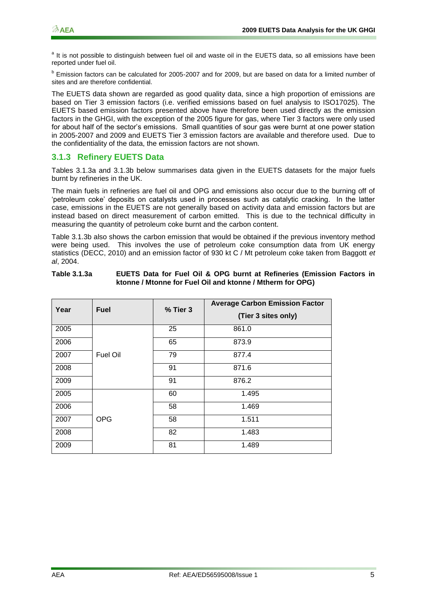<sup>a</sup> It is not possible to distinguish between fuel oil and waste oil in the EUETS data, so all emissions have been reported under fuel oil.

**b** Emission factors can be calculated for 2005-2007 and for 2009, but are based on data for a limited number of sites and are therefore confidential.

The EUETS data shown are regarded as good quality data, since a high proportion of emissions are based on Tier 3 emission factors (i.e. verified emissions based on fuel analysis to ISO17025). The EUETS based emission factors presented above have therefore been used directly as the emission factors in the GHGI, with the exception of the 2005 figure for gas, where Tier 3 factors were only used for about half of the sector"s emissions. Small quantities of sour gas were burnt at one power station in 2005-2007 and 2009 and EUETS Tier 3 emission factors are available and therefore used. Due to the confidentiality of the data, the emission factors are not shown.

#### **3.1.3 Refinery EUETS Data**

Tables 3.1.3a and 3.1.3b below summarises data given in the EUETS datasets for the major fuels burnt by refineries in the UK.

The main fuels in refineries are fuel oil and OPG and emissions also occur due to the burning off of "petroleum coke" deposits on catalysts used in processes such as catalytic cracking. In the latter case, emissions in the EUETS are not generally based on activity data and emission factors but are instead based on direct measurement of carbon emitted. This is due to the technical difficulty in measuring the quantity of petroleum coke burnt and the carbon content.

Table 3.1.3b also shows the carbon emission that would be obtained if the previous inventory method were being used. This involves the use of petroleum coke consumption data from UK energy statistics (DECC, 2010) and an emission factor of 930 kt C / Mt petroleum coke taken from Baggott *et al*, 2004.

| Year | <b>Fuel</b> | % Tier 3 | <b>Average Carbon Emission Factor</b><br>(Tier 3 sites only) |
|------|-------------|----------|--------------------------------------------------------------|
| 2005 |             | 25       | 861.0                                                        |
| 2006 |             | 65       | 873.9                                                        |
| 2007 | Fuel Oil    | 79       | 877.4                                                        |
| 2008 |             | 91       | 871.6                                                        |
| 2009 |             | 91       | 876.2                                                        |
| 2005 |             | 60       | 1.495                                                        |
| 2006 |             | 58       | 1.469                                                        |
| 2007 | <b>OPG</b>  | 58       | 1.511                                                        |
| 2008 |             | 82       | 1.483                                                        |
| 2009 |             | 81       | 1.489                                                        |

**Table 3.1.3a EUETS Data for Fuel Oil & OPG burnt at Refineries (Emission Factors in ktonne / Mtonne for Fuel Oil and ktonne / Mtherm for OPG)**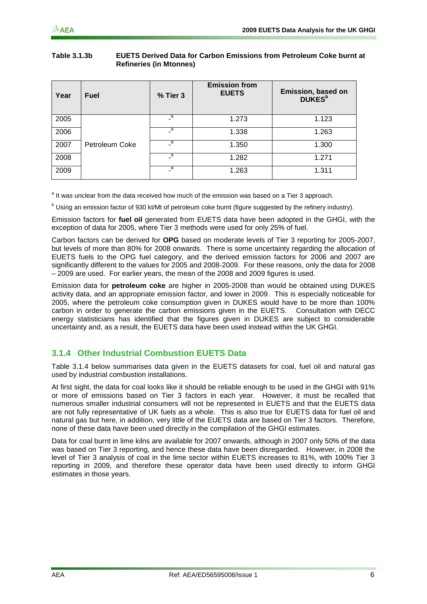#### **Table 3.1.3b EUETS Derived Data for Carbon Emissions from Petroleum Coke burnt at Refineries (in Mtonnes)**

| Year | <b>Fuel</b>    | % Tier 3       | <b>Emission from</b><br><b>EUETS</b> | Emission, based on<br><b>DUKES</b> <sup>b</sup> |
|------|----------------|----------------|--------------------------------------|-------------------------------------------------|
| 2005 |                | $\overline{a}$ | 1.273                                | 1.123                                           |
| 2006 |                | $\overline{a}$ | 1.338                                | 1.263                                           |
| 2007 | Petroleum Coke | a              | 1.350                                | 1.300                                           |
| 2008 |                | $\overline{a}$ | 1.282                                | 1.271                                           |
| 2009 |                | а              | 1.263                                | 1.311                                           |

<sup>a</sup> It was unclear from the data received how much of the emission was based on a Tier 3 approach.

b Using an emission factor of 930 kt/Mt of petroleum coke burnt (figure suggested by the refinery industry).

Emission factors for **fuel oil** generated from EUETS data have been adopted in the GHGI, with the exception of data for 2005, where Tier 3 methods were used for only 25% of fuel.

Carbon factors can be derived for **OPG** based on moderate levels of Tier 3 reporting for 2005-2007, but levels of more than 80% for 2008 onwards. There is some uncertainty regarding the allocation of EUETS fuels to the OPG fuel category, and the derived emission factors for 2006 and 2007 are significantly different to the values for 2005 and 2008-2009. For these reasons, only the data for 2008 – 2009 are used. For earlier years, the mean of the 2008 and 2009 figures is used.

Emission data for **petroleum coke** are higher in 2005-2008 than would be obtained using DUKES activity data, and an appropriate emission factor, and lower in 2009. This is especially noticeable for 2005, where the petroleum coke consumption given in DUKES would have to be more than 100% carbon in order to generate the carbon emissions given in the EUETS. Consultation with DECC energy statisticians has identified that the figures given in DUKES are subject to considerable uncertainty and, as a result, the EUETS data have been used instead within the UK GHGI.

### **3.1.4 Other Industrial Combustion EUETS Data**

Table 3.1.4 below summarises data given in the EUETS datasets for coal, fuel oil and natural gas used by industrial combustion installations.

At first sight, the data for coal looks like it should be reliable enough to be used in the GHGI with 91% or more of emissions based on Tier 3 factors in each year. However, it must be recalled that numerous smaller industrial consumers will not be represented in EUETS and that the EUETS data are not fully representative of UK fuels as a whole. This is also true for EUETS data for fuel oil and natural gas but here, in addition, very little of the EUETS data are based on Tier 3 factors. Therefore, none of these data have been used directly in the compilation of the GHGI estimates.

Data for coal burnt in lime kilns are available for 2007 onwards, although in 2007 only 50% of the data was based on Tier 3 reporting, and hence these data have been disregarded. However, in 2008 the level of Tier 3 analysis of coal in the lime sector within EUETS increases to 81%, with 100% Tier 3 reporting in 2009, and therefore these operator data have been used directly to inform GHGI estimates in those years.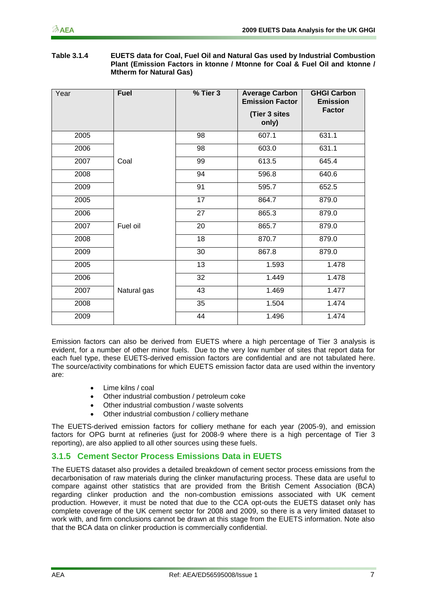| Table 3.1.4 | <b>EUETS data for Coal, Fuel Oil and Natural Gas used by Industrial Combustion</b> |
|-------------|------------------------------------------------------------------------------------|
|             | Plant (Emission Factors in ktonne / Mtonne for Coal & Fuel Oil and ktonne /        |
|             | <b>Mtherm for Natural Gas)</b>                                                     |

| Year | <b>Fuel</b> | % Tier 3 | <b>Average Carbon</b><br><b>Emission Factor</b><br>(Tier 3 sites | <b>GHGI Carbon</b><br><b>Emission</b><br><b>Factor</b> |
|------|-------------|----------|------------------------------------------------------------------|--------------------------------------------------------|
|      |             |          | only)                                                            |                                                        |
| 2005 |             | 98       | 607.1                                                            | 631.1                                                  |
| 2006 |             | 98       | 603.0                                                            | 631.1                                                  |
| 2007 | Coal        | 99       | 613.5                                                            | 645.4                                                  |
| 2008 |             | 94       | 596.8                                                            | 640.6                                                  |
| 2009 |             | 91       | 595.7                                                            | 652.5                                                  |
| 2005 |             | 17       | 864.7                                                            | 879.0                                                  |
| 2006 |             | 27       | 865.3                                                            | 879.0                                                  |
| 2007 | Fuel oil    | 20       | 865.7                                                            | 879.0                                                  |
| 2008 |             | 18       | 870.7                                                            | 879.0                                                  |
| 2009 |             | 30       | 867.8                                                            | 879.0                                                  |
| 2005 |             | 13       | 1.593                                                            | 1.478                                                  |
| 2006 |             | 32       | 1.449                                                            | 1.478                                                  |
| 2007 | Natural gas | 43       | 1.469                                                            | 1.477                                                  |
| 2008 |             | 35       | 1.504                                                            | 1.474                                                  |
| 2009 |             | 44       | 1.496                                                            | 1.474                                                  |

Emission factors can also be derived from EUETS where a high percentage of Tier 3 analysis is evident, for a number of other minor fuels. Due to the very low number of sites that report data for each fuel type, these EUETS-derived emission factors are confidential and are not tabulated here. The source/activity combinations for which EUETS emission factor data are used within the inventory are:

- Lime kilns / coal
- Other industrial combustion / petroleum coke
- Other industrial combustion / waste solvents
- Other industrial combustion / colliery methane

The EUETS-derived emission factors for colliery methane for each year (2005-9), and emission factors for OPG burnt at refineries (just for 2008-9 where there is a high percentage of Tier 3 reporting), are also applied to all other sources using these fuels.

### **3.1.5 Cement Sector Process Emissions Data in EUETS**

The EUETS dataset also provides a detailed breakdown of cement sector process emissions from the decarbonisation of raw materials during the clinker manufacturing process. These data are useful to compare against other statistics that are provided from the British Cement Association (BCA) regarding clinker production and the non-combustion emissions associated with UK cement production. However, it must be noted that due to the CCA opt-outs the EUETS dataset only has complete coverage of the UK cement sector for 2008 and 2009, so there is a very limited dataset to work with, and firm conclusions cannot be drawn at this stage from the EUETS information. Note also that the BCA data on clinker production is commercially confidential.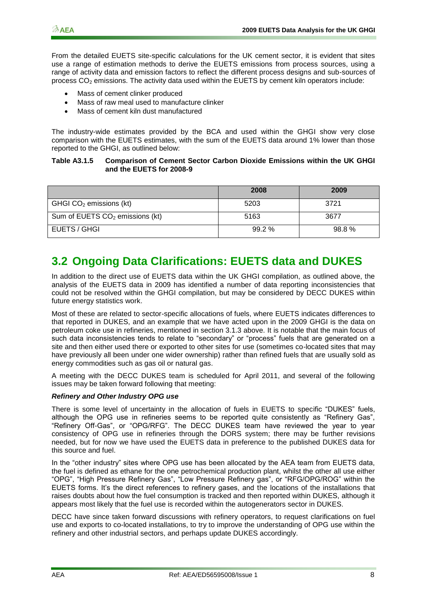From the detailed EUETS site-specific calculations for the UK cement sector, it is evident that sites use a range of estimation methods to derive the EUETS emissions from process sources, using a range of activity data and emission factors to reflect the different process designs and sub-sources of process  $CO<sub>2</sub>$  emissions. The activity data used within the EUETS by cement kiln operators include:

- Mass of cement clinker produced
- Mass of raw meal used to manufacture clinker
- Mass of cement kiln dust manufactured

The industry-wide estimates provided by the BCA and used within the GHGI show very close comparison with the EUETS estimates, with the sum of the EUETS data around 1% lower than those reported to the GHGI, as outlined below:

#### **Table A3.1.5 Comparison of Cement Sector Carbon Dioxide Emissions within the UK GHGI and the EUETS for 2008-9**

|                                   | 2008  | 2009  |
|-----------------------------------|-------|-------|
| GHGI $CO2$ emissions (kt)         | 5203  | 3721  |
| Sum of EUETS $CO2$ emissions (kt) | 5163  | 3677  |
| EUETS / GHGI                      | 99.2% | 98.8% |

### <span id="page-11-0"></span>**3.2 Ongoing Data Clarifications: EUETS data and DUKES**

In addition to the direct use of EUETS data within the UK GHGI compilation, as outlined above, the analysis of the EUETS data in 2009 has identified a number of data reporting inconsistencies that could not be resolved within the GHGI compilation, but may be considered by DECC DUKES within future energy statistics work.

Most of these are related to sector-specific allocations of fuels, where EUETS indicates differences to that reported in DUKES, and an example that we have acted upon in the 2009 GHGI is the data on petroleum coke use in refineries, mentioned in section 3.1.3 above. It is notable that the main focus of such data inconsistencies tends to relate to "secondary" or "process" fuels that are generated on a site and then either used there or exported to other sites for use (sometimes co-located sites that may have previously all been under one wider ownership) rather than refined fuels that are usually sold as energy commodities such as gas oil or natural gas.

A meeting with the DECC DUKES team is scheduled for April 2011, and several of the following issues may be taken forward following that meeting:

#### *Refinery and Other Industry OPG use*

There is some level of uncertainty in the allocation of fuels in EUETS to specific "DUKES" fuels, although the OPG use in refineries seems to be reported quite consistently as "Refinery Gas", "Refinery Off-Gas", or "OPG/RFG". The DECC DUKES team have reviewed the year to year consistency of OPG use in refineries through the DORS system; there may be further revisions needed, but for now we have used the EUETS data in preference to the published DUKES data for this source and fuel.

In the "other industry" sites where OPG use has been allocated by the AEA team from EUETS data, the fuel is defined as ethane for the one petrochemical production plant, whilst the other all use either "OPG", "High Pressure Refinery Gas", "Low Pressure Refinery gas", or "RFG/OPG/ROG" within the EUETS forms. It's the direct references to refinery gases, and the locations of the installations that raises doubts about how the fuel consumption is tracked and then reported within DUKES, although it appears most likely that the fuel use is recorded within the autogenerators sector in DUKES.

DECC have since taken forward discussions with refinery operators, to request clarifications on fuel use and exports to co-located installations, to try to improve the understanding of OPG use within the refinery and other industrial sectors, and perhaps update DUKES accordingly.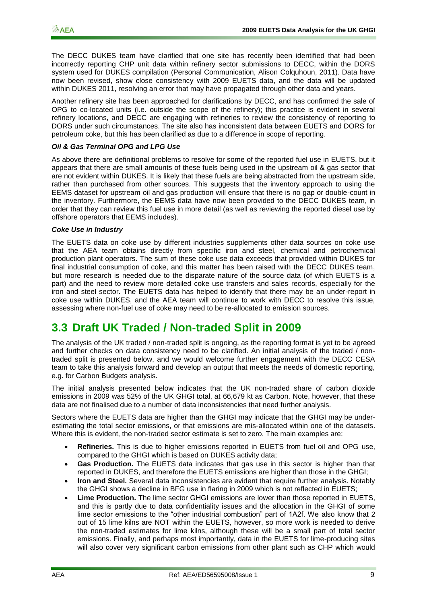The DECC DUKES team have clarified that one site has recently been identified that had been incorrectly reporting CHP unit data within refinery sector submissions to DECC, within the DORS system used for DUKES compilation (Personal Communication, Alison Colquhoun, 2011). Data have now been revised, show close consistency with 2009 EUETS data, and the data will be updated within DUKES 2011, resolving an error that may have propagated through other data and years.

Another refinery site has been approached for clarifications by DECC, and has confirmed the sale of OPG to co-located units (i.e. outside the scope of the refinery); this practice is evident in several refinery locations, and DECC are engaging with refineries to review the consistency of reporting to DORS under such circumstances. The site also has inconsistent data between EUETS and DORS for petroleum coke, but this has been clarified as due to a difference in scope of reporting.

#### *Oil & Gas Terminal OPG and LPG Use*

As above there are definitional problems to resolve for some of the reported fuel use in EUETS, but it appears that there are small amounts of these fuels being used in the upstream oil & gas sector that are not evident within DUKES. It is likely that these fuels are being abstracted from the upstream side, rather than purchased from other sources. This suggests that the inventory approach to using the EEMS dataset for upstream oil and gas production will ensure that there is no gap or double-count in the inventory. Furthermore, the EEMS data have now been provided to the DECC DUKES team, in order that they can review this fuel use in more detail (as well as reviewing the reported diesel use by offshore operators that EEMS includes).

#### *Coke Use in Industry*

The EUETS data on coke use by different industries supplements other data sources on coke use that the AEA team obtains directly from specific iron and steel, chemical and petrochemical production plant operators. The sum of these coke use data exceeds that provided within DUKES for final industrial consumption of coke, and this matter has been raised with the DECC DUKES team, but more research is needed due to the disparate nature of the source data (of which EUETS is a part) and the need to review more detailed coke use transfers and sales records, especially for the iron and steel sector. The EUETS data has helped to identify that there may be an under-report in coke use within DUKES, and the AEA team will continue to work with DECC to resolve this issue, assessing where non-fuel use of coke may need to be re-allocated to emission sources.

### <span id="page-12-0"></span>**3.3 Draft UK Traded / Non-traded Split in 2009**

The analysis of the UK traded / non-traded split is ongoing, as the reporting format is yet to be agreed and further checks on data consistency need to be clarified. An initial analysis of the traded / nontraded split is presented below, and we would welcome further engagement with the DECC CESA team to take this analysis forward and develop an output that meets the needs of domestic reporting, e.g. for Carbon Budgets analysis.

The initial analysis presented below indicates that the UK non-traded share of carbon dioxide emissions in 2009 was 52% of the UK GHGI total, at 66,679 kt as Carbon. Note, however, that these data are not finalised due to a number of data inconsistencies that need further analysis.

Sectors where the EUETS data are higher than the GHGI may indicate that the GHGI may be underestimating the total sector emissions, or that emissions are mis-allocated within one of the datasets. Where this is evident, the non-traded sector estimate is set to zero. The main examples are:

- **Refineries.** This is due to higher emissions reported in EUETS from fuel oil and OPG use, compared to the GHGI which is based on DUKES activity data;
- **Gas Production.** The EUETS data indicates that gas use in this sector is higher than that reported in DUKES, and therefore the EUETS emissions are higher than those in the GHGI;
- **Iron and Steel.** Several data inconsistencies are evident that require further analysis. Notably the GHGI shows a decline in BFG use in flaring in 2009 which is not reflected in EUETS;
- **Lime Production.** The lime sector GHGI emissions are lower than those reported in EUETS, and this is partly due to data confidentiality issues and the allocation in the GHGI of some lime sector emissions to the "other industrial combustion" part of 1A2f. We also know that 2 out of 15 lime kilns are NOT within the EUETS, however, so more work is needed to derive the non-traded estimates for lime kilns, although these will be a small part of total sector emissions. Finally, and perhaps most importantly, data in the EUETS for lime-producing sites will also cover very significant carbon emissions from other plant such as CHP which would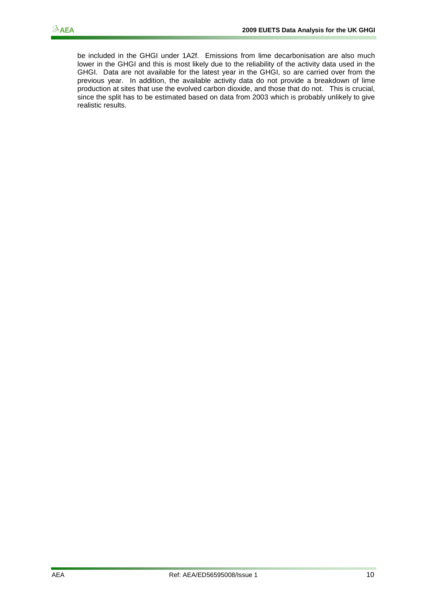be included in the GHGI under 1A2f. Emissions from lime decarbonisation are also much lower in the GHGI and this is most likely due to the reliability of the activity data used in the GHGI. Data are not available for the latest year in the GHGI, so are carried over from the previous year. In addition, the available activity data do not provide a breakdown of lime production at sites that use the evolved carbon dioxide, and those that do not. This is crucial, since the split has to be estimated based on data from 2003 which is probably unlikely to give realistic results.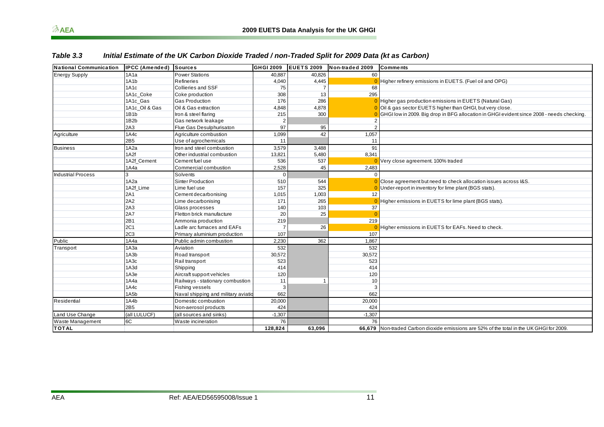| $\mathcal{D}$ AEA             |                       |                                                                                                  |                |                   | 2009 EUETS Data Analysis for the UK GHGI |                                                                                           |
|-------------------------------|-----------------------|--------------------------------------------------------------------------------------------------|----------------|-------------------|------------------------------------------|-------------------------------------------------------------------------------------------|
| Table 3.3                     |                       | Initial Estimate of the UK Carbon Dioxide Traded / non-Traded Split for 2009 Data (kt as Carbon) |                |                   |                                          |                                                                                           |
| <b>National Communication</b> | <b>IPCC (Amended)</b> | <b>Sources</b>                                                                                   | GHGI 2009      | <b>EUETS 2009</b> | Non-traded 2009                          | <b>Comments</b>                                                                           |
| <b>Energy Supply</b>          | 1A1a                  | <b>Power Stations</b>                                                                            | 40,887         | 40.826            | 60                                       |                                                                                           |
|                               | 1A1b                  | Refineries                                                                                       | 4,040          | 4,445             | $\epsilon$                               | Higher refinery emissions in EUETS. (Fuel oil and OPG)                                    |
|                               | 1A1c                  | <b>Collieries and SSF</b>                                                                        | 75             | 7                 | 68                                       |                                                                                           |
|                               | 1A1c Coke             | Coke production                                                                                  | 308            | 13                | 295                                      |                                                                                           |
|                               | 1A1c Gas              | <b>Gas Production</b>                                                                            | 176            | 286               |                                          | Higher gas production emissions in EUETS (Natural Gas)                                    |
|                               | 1A1c Oil & Gas        | Oil & Gas extraction                                                                             | 4,848          | 4,878             | $\overline{0}$                           | Oil & gas sector EUETS higher than GHGI, but very close.                                  |
|                               | 1B <sub>1</sub> b     | Iron & steel flaring                                                                             | 215            | 300               | $\epsilon$                               | GHGI low in 2009. Big drop in BFG allocation in GHGI evident since 2008 - needs checking. |
|                               | 1B <sub>2</sub> b     | Gas network leakage                                                                              | $\overline{2}$ |                   | $\overline{2}$                           |                                                                                           |
|                               | 2A3                   | Flue Gas Desulphurisaton                                                                         | 97             | 95                | $\overline{2}$                           |                                                                                           |
| Agriculture                   | 1A4c                  | Agriculture combustion                                                                           | 1,099          | 42                | 1.057                                    |                                                                                           |
|                               | 2B5                   | Use of agrochemicals                                                                             | 11             |                   | 11                                       |                                                                                           |
| <b>Business</b>               | 1A2a                  | Iron and steel combustion                                                                        | 3,579          | 3,488             | 91                                       |                                                                                           |
|                               | 1A2f                  | Other industrial combustion                                                                      | 13,821         | 5,480             | 8,341                                    |                                                                                           |
|                               | 1A2f_Cement           | Cement fuel use                                                                                  | 536            | 537               |                                          | Very close agreement. 100% traded                                                         |
|                               | 1A4a                  | Commercial combustion                                                                            | 2,528          | 45                | 2,483                                    |                                                                                           |
| <b>Industrial Process</b>     | 3                     | Solvents                                                                                         | $\Omega$       |                   | $\overline{0}$                           |                                                                                           |
|                               | 1A2a                  | Sinter Production                                                                                | 510            | 544               | $\sqrt{ }$                               | Close agreement but need to check allocation issues across I&S.                           |
|                               | 1A2f Lime             | Lime fuel use                                                                                    | 157            | 325               | $\overline{0}$                           | Under-report in inventory for lime plant (BGS stats).                                     |
|                               | 2A1                   | Cement decarbonising                                                                             | 1,015          | 1,003             | 12                                       |                                                                                           |
|                               | 2A2                   | Lime decarbonising                                                                               | 171            | 265               | $\overline{0}$                           | Higher emissions in EUETS for lime plant (BGS stats).                                     |
|                               | 2A3                   | Glass processes                                                                                  | 140            | 103               | 37                                       |                                                                                           |
|                               | <b>2A7</b>            | Fletton brick manufacture                                                                        | 20             | 25                | $\epsilon$                               |                                                                                           |
|                               | 2B1                   | Ammonia production                                                                               | 219            |                   | 219                                      |                                                                                           |
|                               | 2C1                   | Ladle arc furnaces and EAFs                                                                      | 7              | 26                | -0                                       | Higher emissions in EUETS for EAFs. Need to check.                                        |
|                               | 2C <sub>3</sub>       | Primary aluminium production                                                                     | 107            |                   | 107                                      |                                                                                           |
| Public                        | 1A4a                  | Public admin combustion                                                                          | 2,230          | 362               | 1,867                                    |                                                                                           |
| Transport                     | 1A3a                  | Aviation                                                                                         | 532            |                   | 532                                      |                                                                                           |
|                               | 1A3b                  | Road transport                                                                                   | 30,572         |                   | 30,572                                   |                                                                                           |
|                               | 1A3c                  | Rail transport                                                                                   | 523            |                   | 523                                      |                                                                                           |
|                               | 1A3d                  | Shipping                                                                                         | 414            |                   | 414                                      |                                                                                           |
|                               | 1A3e                  | Aircraft support vehicles                                                                        | 120            |                   | 120                                      |                                                                                           |
|                               | 1A4a                  | Railways - stationary combustion                                                                 | 11             | $\overline{1}$    | 10                                       |                                                                                           |
|                               | 1A4c                  | Fishing vessels                                                                                  | 3              |                   | 3                                        |                                                                                           |
|                               | 1A <sub>5</sub> b     | Naval shipping and military aviatio                                                              | 662            |                   | 662                                      |                                                                                           |
| Residential                   | 1A4b                  | Domestic combustion                                                                              | 20,000         |                   | 20,000                                   |                                                                                           |
|                               | 2B <sub>5</sub>       | Non-aerosol products                                                                             | 424            |                   | 424                                      |                                                                                           |
| Land Use Change               | (all LULUCF)          | (all sources and sinks)                                                                          | $-1,307$       |                   | $-1,307$                                 |                                                                                           |
| Waste Management              | 6C                    | Waste incineration                                                                               | 76             |                   | 76                                       |                                                                                           |
| <b>TOTAL</b>                  |                       |                                                                                                  | 128,824        | 63,096            | 66,679                                   | Non-traded Carbon dioxide emissions are 52% of the total in the UK GHGI for 2009.         |

#### *Table 3.3 Initial Estimate of the UK Carbon Dioxide Traded / non-Traded Split for 2009 Data (kt as Carbon)*